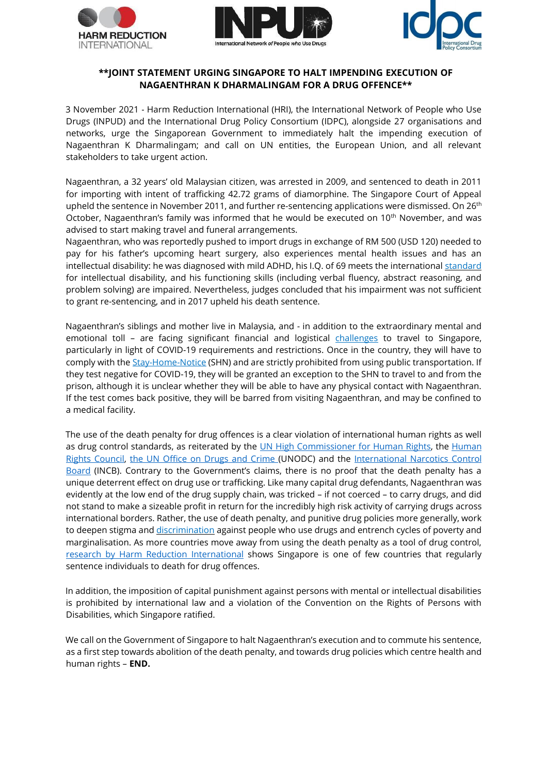





## **\*\*JOINT STATEMENT URGING SINGAPORE TO HALT IMPENDING EXECUTION OF NAGAENTHRAN K DHARMALINGAM FOR A DRUG OFFENCE\*\***

3 November 2021 - Harm Reduction International (HRI), the International Network of People who Use Drugs (INPUD) and the International Drug Policy Consortium (IDPC), alongside 27 organisations and networks, urge the Singaporean Government to immediately halt the impending execution of Nagaenthran K Dharmalingam; and call on UN entities, the European Union, and all relevant stakeholders to take urgent action.

Nagaenthran, a 32 years' old Malaysian citizen, was arrested in 2009, and sentenced to death in 2011 for importing with intent of trafficking 42.72 grams of diamorphine. The Singapore Court of Appeal upheld the sentence in November 2011, and further re-sentencing applications were dismissed. On 26<sup>th</sup> October, Nagaenthran's family was informed that he would be executed on 10<sup>th</sup> November, and was advised to start making travel and funeral arrangements.

Nagaenthran, who was reportedly pushed to import drugs in exchange of RM 500 (USD 120) needed to pay for his father's upcoming heart surgery, also experiences mental health issues and has an intellectual disability: he was diagnosed with mild ADHD, his I.Q. of 69 meets the international [standard](https://www.ncbi.nlm.nih.gov/books/NBK332877/) for intellectual disability, and his functioning skills (including verbal fluency, abstract reasoning, and problem solving) are impaired. Nevertheless, judges concluded that his impairment was not sufficient to grant re-sentencing, and in 2017 upheld his death sentence.

Nagaenthran's siblings and mother live in Malaysia, and - in addition to the extraordinary mental and emotional toll – are facing significant financial and logistical [challenges](https://www.wethecitizens.net/death-by-bureaucracy) to travel to Singapore, particularly in light of COVID-19 requirements and restrictions. Once in the country, they will have to comply with the *[Stay-Home-Notice](https://safetravel.ica.gov.sg/health/shn)* [\(](https://safetravel.ica.gov.sg/health/shn)SHN) and are strictly prohibited from using public transportation. If they test negative for COVID-19, they will be granted an exception to the SHN to travel to and from the prison, although it is unclear whether they will be able to have any physical contact with Nagaenthran. If the test comes back positive, they will be barred from visiting Nagaenthran, and may be confined to a medical facility.

The use of the death penalty for drug offences is a clear violation of international human rights as well as drug control standards, as r[e](https://documents-dds-ny.un.org/doc/UNDOC/LTD/G19/281/45/PDF/G1928145.pdf?OpenElement)iterated by the [UN](https://www.ohchr.org/EN/NewsEvents/Pages/DisplayNews.aspx?NewsID=24529&LangID=E) [High](https://www.ohchr.org/EN/NewsEvents/Pages/DisplayNews.aspx?NewsID=24529&LangID=E) [Commissioner](https://www.ohchr.org/EN/NewsEvents/Pages/DisplayNews.aspx?NewsID=24529&LangID=E) [for](https://www.ohchr.org/EN/NewsEvents/Pages/DisplayNews.aspx?NewsID=24529&LangID=E) [Human](https://documents-dds-ny.un.org/doc/UNDOC/LTD/G19/281/45/PDF/G1928145.pdf?OpenElement) [Rights,](https://www.ohchr.org/EN/NewsEvents/Pages/DisplayNews.aspx?NewsID=24529&LangID=E) the Human [Rights](https://documents-dds-ny.un.org/doc/UNDOC/LTD/G19/281/45/PDF/G1928145.pdf?OpenElement) [Council,](https://documents-dds-ny.un.org/doc/UNDOC/LTD/G19/281/45/PDF/G1928145.pdf?OpenElement) [the](https://www.unodc.org/unodc/en/press/releases/2019/June/statement-attributable-to-the-unodc-spokesperson-on-the-use-of-the-death-penalty.html) [UN](https://www.unodc.org/unodc/en/press/releases/2019/June/statement-attributable-to-the-unodc-spokesperson-on-the-use-of-the-death-penalty.html) [Office](https://www.unodc.org/unodc/en/press/releases/2019/June/statement-attributable-to-the-unodc-spokesperson-on-the-use-of-the-death-penalty.html) [on](https://www.unodc.org/unodc/en/press/releases/2019/June/statement-attributable-to-the-unodc-spokesperson-on-the-use-of-the-death-penalty.html) [Drugs](https://www.unodc.org/unodc/en/press/releases/2019/June/statement-attributable-to-the-unodc-spokesperson-on-the-use-of-the-death-penalty.html) [and](https://www.unodc.org/unodc/en/press/releases/2019/June/statement-attributable-to-the-unodc-spokesperson-on-the-use-of-the-death-penalty.html) [Crime](https://www.unodc.org/unodc/en/press/releases/2019/June/statement-attributable-to-the-unodc-spokesperson-on-the-use-of-the-death-penalty.html) [\(U](https://www.unodc.org/unodc/en/press/releases/2019/June/statement-attributable-to-the-unodc-spokesperson-on-the-use-of-the-death-penalty.html)NODC) and th[e](https://www.incb.org/documents/News/Alerts/Alert12_on_Convention_Implementation_June_2019.pdf) [International](https://www.incb.org/documents/News/Alerts/Alert12_on_Convention_Implementation_June_2019.pdf) [Narcotics](https://www.incb.org/documents/News/Alerts/Alert12_on_Convention_Implementation_June_2019.pdf) [Control](https://www.incb.org/documents/News/Alerts/Alert12_on_Convention_Implementation_June_2019.pdf) [Board](https://www.incb.org/documents/News/Alerts/Alert12_on_Convention_Implementation_June_2019.pdf) (INCB). Contrary to the Government's claims, there is no proof that the death penalty has a unique deterrent effect on drug use or trafficking. Like many capital drug defendants, Nagaenthran was evidently at the low end of the drug supply chain, was tricked – if not coerced – to carry drugs, and did not stand to make a sizeable profit in return for the incredibly high risk activity of carrying drugs across international borders. Rather, the use of death penalty, and punitive drug policies more generally, work to deepen stigma and [discrimination](https://transformativejusticecollective.org/2021/08/16/investigating-the-presence-of-structural-biases-in-the-criminal-punishment-system/) against people who use drugs and entrench cycles of poverty and marginalisation. As more countries move away from using the death penalty as a tool of drug control[,](https://www.hri.global/files/2020/02/28/HRI_DeathPenaltyReport2019.pdf) [research](https://www.hri.global/files/2020/02/28/HRI_DeathPenaltyReport2019.pdf) [by](https://www.hri.global/files/2020/02/28/HRI_DeathPenaltyReport2019.pdf) [Harm](https://www.hri.global/files/2020/02/28/HRI_DeathPenaltyReport2019.pdf) [Reduction](https://www.hri.global/files/2020/02/28/HRI_DeathPenaltyReport2019.pdf) [International](https://www.hri.global/files/2020/02/28/HRI_DeathPenaltyReport2019.pdf) [s](https://www.hri.global/files/2020/02/28/HRI_DeathPenaltyReport2019.pdf)hows Singapore is one of few countries that regularly sentence individuals to death for drug offences.

In addition, the imposition of capital punishment against persons with mental or intellectual disabilities is prohibited by international law and a violation of the Convention on the Rights of Persons with Disabilities, which Singapore ratified.

We call on the Government of Singapore to halt Nagaenthran's execution and to commute his sentence, as a first step towards abolition of the death penalty, and towards drug policies which centre health and human rights – **END.**